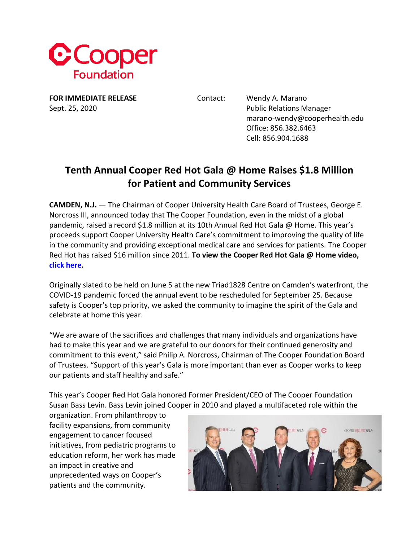

**FOR IMMEDIATE RELEASE Contact: Wendy A. Marano** 

Sept. 25, 2020 **Public Relations Manager** Public Relations Manager [marano-wendy@cooperhealth.edu](mailto:marano-wendy@cooperhealth.edu) Office: 856.382.6463 Cell: 856.904.1688

## **Tenth Annual Cooper Red Hot Gala @ Home Raises \$1.8 Million for Patient and Community Services**

**CAMDEN, N.J.** — The Chairman of Cooper University Health Care Board of Trustees, George E. Norcross III, announced today that The Cooper Foundation, even in the midst of a global pandemic, raised a record \$1.8 million at its 10th Annual Red Hot Gala @ Home. This year's proceeds support Cooper University Health Care's commitment to improving the quality of life in the community and providing exceptional medical care and services for patients. The Cooper Red Hot has raised \$16 million since 2011. **To view the Cooper Red Hot Gala @ Home video, [click here.](https://foundation.cooperhealth.org/cooper-gala-at-home)**

Originally slated to be held on June 5 at the new Triad1828 Centre on Camden's waterfront, the COVID-19 pandemic forced the annual event to be rescheduled for September 25. Because safety is Cooper's top priority, we asked the community to imagine the spirit of the Gala and celebrate at home this year.

"We are aware of the sacrifices and challenges that many individuals and organizations have had to make this year and we are grateful to our donors for their continued generosity and commitment to this event," said Philip A. Norcross, Chairman of The Cooper Foundation Board of Trustees. "Support of this year's Gala is more important than ever as Cooper works to keep our patients and staff healthy and safe."

This year's Cooper Red Hot Gala honored Former President/CEO of The Cooper Foundation Susan Bass Levin. Bass Levin joined Cooper in 2010 and played a multifaceted role within the

organization. From philanthropy to facility expansions, from community engagement to cancer focused initiatives, from pediatric programs to education reform, her work has made an impact in creative and unprecedented ways on Cooper's patients and the community.